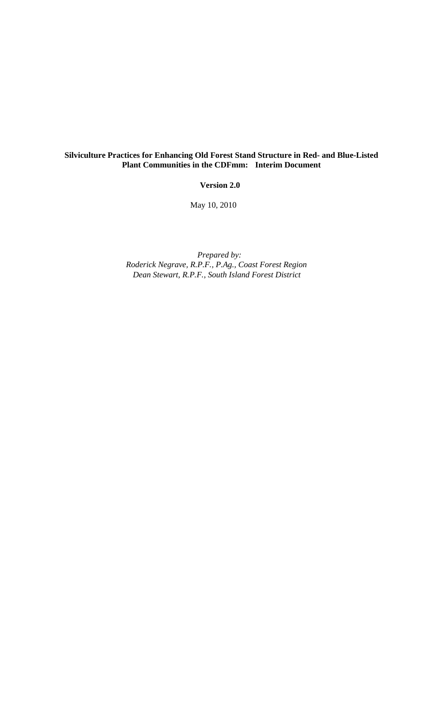## **Silviculture Practices for Enhancing Old Forest Stand Structure in Red- and Blue-Listed Plant Communities in the CDFmm: Interim Document**

**Version 2.0**

May 10, 2010

*Prepared by: Roderick Negrave, R.P.F., P.Ag., Coast Forest Region Dean Stewart, R.P.F., South Island Forest District*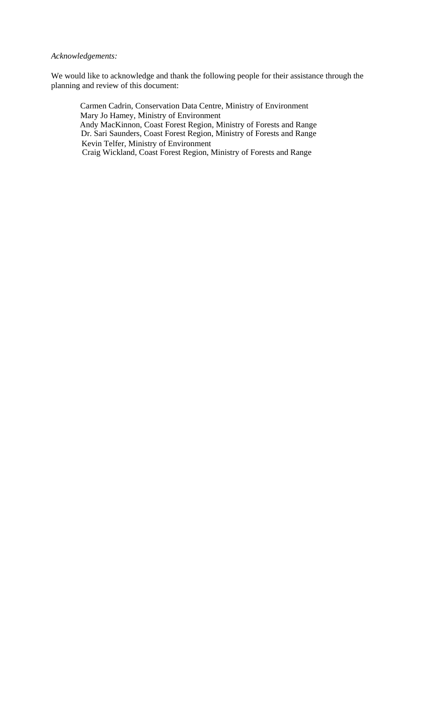## *Acknowledgements:*

We would like to acknowledge and thank the following people for their assistance through the planning and review of this document:

 Carmen Cadrin, Conservation Data Centre, Ministry of Environment Mary Jo Hamey, Ministry of Environment Andy MacKinnon, Coast Forest Region, Ministry of Forests and Range Dr. Sari Saunders, Coast Forest Region, Ministry of Forests and Range Kevin Telfer, Ministry of Environment Craig Wickland, Coast Forest Region, Ministry of Forests and Range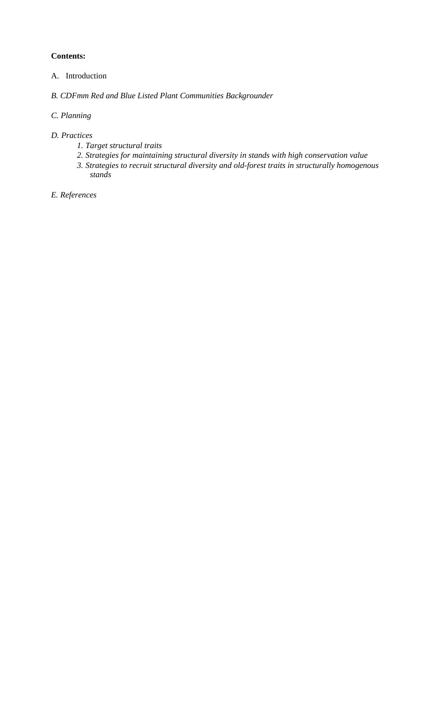## **Contents:**

- A. Introduction
- *B. CDFmm Red and Blue Listed Plant Communities Backgrounder*

# *C. Planning*

- *D. Practices* 
	- *1. Target structural traits*
	- *2. Strategies for maintaining structural diversity in stands with high conservation value*
	- *3. Strategies to recruit structural diversity and old-forest traits in structurally homogenous stands*

*E. References*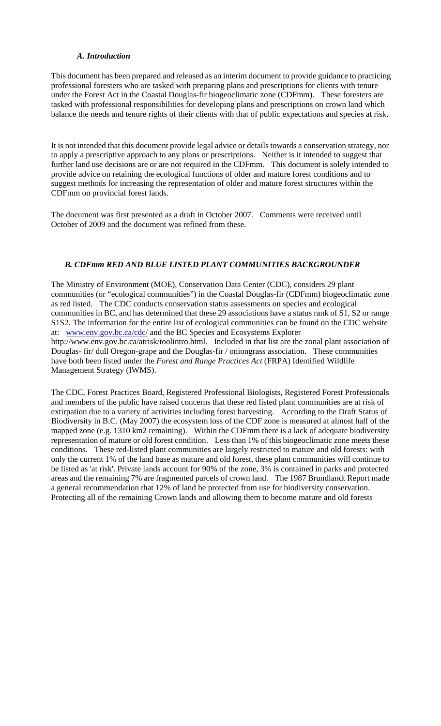## *A. Introduction*

This document has been prepared and released as an interim document to provide guidance to practicing professional foresters who are tasked with preparing plans and prescriptions for clients with tenure under the Forest Act in the Coastal Douglas-fir biogeoclimatic zone (CDFmm). These foresters are tasked with professional responsibilities for developing plans and prescriptions on crown land which balance the needs and tenure rights of their clients with that of public expectations and species at risk.

It is not intended that this document provide legal advice or details towards a conservation strategy, nor to apply a prescriptive approach to any plans or prescriptions. Neither is it intended to suggest that further land use decisions are or are not required in the CDFmm. This document is solely intended to provide advice on retaining the ecological functions of older and mature forest conditions and to suggest methods for increasing the representation of older and mature forest structures within the CDFmm on provincial forest lands.

The document was first presented as a draft in October 2007. Comments were received until October of 2009 and the document was refined from these.

## *B. CDFmm RED AND BLUE LISTED PLANT COMMUNITIES BACKGROUNDER*

The Ministry of Environment (MOE), Conservation Data Center (CDC), considers 29 plant communities (or "ecological communities") in the Coastal Douglas-fir (CDFmm) biogeoclimatic zone as red listed. The CDC conducts conservation status assessments on species and ecological communities in BC, and has determined that these 29 associations have a status rank of S1, S2 or range S1S2. The information for the entire list of ecological communities can be found on the CDC website at: www.env.gov.bc.ca/cdc/ and the BC Species and Ecosystems Explorer http://www.env.gov.bc.ca/atrisk/toolintro.html. Included in that list are the zonal plant association of Douglas- fir/ dull Oregon-grape and the Douglas-fir / oniongrass association. These communities have both been listed under the *Forest and Range Practices Act* (FRPA) Identified Wildlife Management Strategy (IWMS).

The CDC, Forest Practices Board, Registered Professional Biologists, Registered Forest Professionals and members of the public have raised concerns that these red listed plant communities are at risk of extirpation due to a variety of activities including forest harvesting. According to the Draft Status of Biodiversity in B.C. (May 2007) the ecosystem loss of the CDF zone is measured at almost half of the mapped zone (e.g. 1310 km2 remaining). Within the CDFmm there is a lack of adequate biodiversity representation of mature or old forest condition. Less than 1% of this biogeoclimatic zone meets these conditions. These red-listed plant communities are largely restricted to mature and old forests: with only the current 1% of the land base as mature and old forest, these plant communities will continue to be listed as 'at risk'. Private lands account for 90% of the zone, 3% is contained in parks and protected areas and the remaining 7% are fragmented parcels of crown land. The 1987 Brundlandt Report made a general recommendation that 12% of land be protected from use for biodiversity conservation. Protecting all of the remaining Crown lands and allowing them to become mature and old forests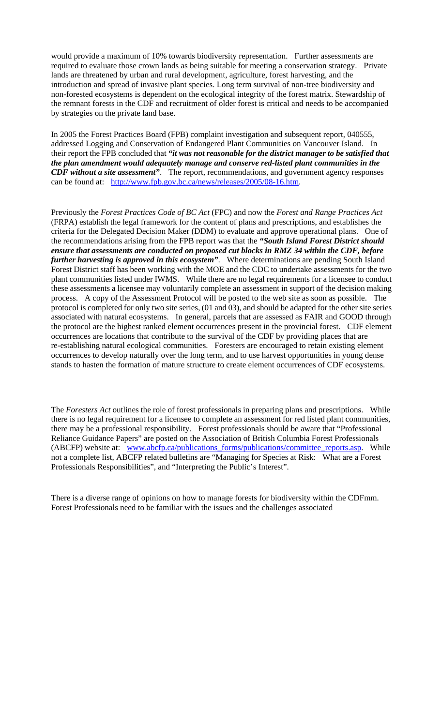would provide a maximum of 10% towards biodiversity representation. Further assessments are required to evaluate those crown lands as being suitable for meeting a conservation strategy. Private lands are threatened by urban and rural development, agriculture, forest harvesting, and the introduction and spread of invasive plant species. Long term survival of non-tree biodiversity and non-forested ecosystems is dependent on the ecological integrity of the forest matrix. Stewardship of the remnant forests in the CDF and recruitment of older forest is critical and needs to be accompanied by strategies on the private land base.

In 2005 the Forest Practices Board (FPB) complaint investigation and subsequent report, 040555, addressed Logging and Conservation of Endangered Plant Communities on Vancouver Island. In their report the FPB concluded that *"it was not reasonable for the district manager to be satisfied that the plan amendment would adequately manage and conserve red-listed plant communities in the CDF without a site assessment"*. The report, recommendations, and government agency responses can be found at: http://www.fpb.gov.bc.ca/news/releases/2005/08-16.htm.

Previously the *Forest Practices Code of BC Act* (FPC) and now the *Forest and Range Practices Act*  (FRPA) establish the legal framework for the content of plans and prescriptions, and establishes the criteria for the Delegated Decision Maker (DDM) to evaluate and approve operational plans. One of the recommendations arising from the FPB report was that the *"South Island Forest District should ensure that assessments are conducted on proposed cut blocks in RMZ 34 within the CDF, before further harvesting is approved in this ecosystem"*. Where determinations are pending South Island Forest District staff has been working with the MOE and the CDC to undertake assessments for the two plant communities listed under IWMS. While there are no legal requirements for a licensee to conduct these assessments a licensee may voluntarily complete an assessment in support of the decision making process. A copy of the Assessment Protocol will be posted to the web site as soon as possible. The protocol is completed for only two site series, (01 and 03), and should be adapted for the other site series associated with natural ecosystems. In general, parcels that are assessed as FAIR and GOOD through the protocol are the highest ranked element occurrences present in the provincial forest. CDF element occurrences are locations that contribute to the survival of the CDF by providing places that are re-establishing natural ecological communities. Foresters are encouraged to retain existing element occurrences to develop naturally over the long term, and to use harvest opportunities in young dense stands to hasten the formation of mature structure to create element occurrences of CDF ecosystems.

The *Foresters Act* outlines the role of forest professionals in preparing plans and prescriptions. While there is no legal requirement for a licensee to complete an assessment for red listed plant communities, there may be a professional responsibility. Forest professionals should be aware that "Professional Reliance Guidance Papers" are posted on the Association of British Columbia Forest Professionals (ABCFP) website at: www.abcfp.ca/publications\_forms/publications/committee\_reports.asp. While not a complete list, ABCFP related bulletins are "Managing for Species at Risk: What are a Forest Professionals Responsibilities", and "Interpreting the Public's Interest".

There is a diverse range of opinions on how to manage forests for biodiversity within the CDFmm. Forest Professionals need to be familiar with the issues and the challenges associated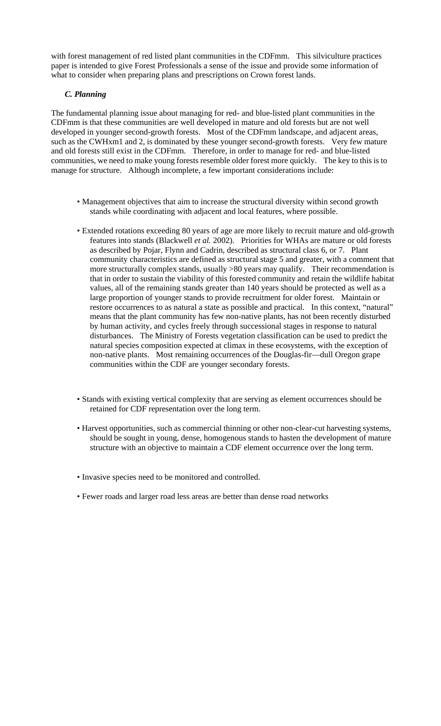with forest management of red listed plant communities in the CDFmm. This silviculture practices paper is intended to give Forest Professionals a sense of the issue and provide some information of what to consider when preparing plans and prescriptions on Crown forest lands.

## *C. Planning*

The fundamental planning issue about managing for red- and blue-listed plant communities in the CDFmm is that these communities are well developed in mature and old forests but are not well developed in younger second-growth forests. Most of the CDFmm landscape, and adjacent areas, such as the CWHxm1 and 2, is dominated by these younger second-growth forests. Very few mature and old forests still exist in the CDFmm. Therefore, in order to manage for red- and blue-listed communities, we need to make young forests resemble older forest more quickly. The key to this is to manage for structure. Although incomplete, a few important considerations include:

- Management objectives that aim to increase the structural diversity within second growth stands while coordinating with adjacent and local features, where possible.
- Extended rotations exceeding 80 years of age are more likely to recruit mature and old-growth features into stands (Blackwell *et al.* 2002). Priorities for WHAs are mature or old forests as described by Pojar, Flynn and Cadrin, described as structural class 6, or 7. Plant community characteristics are defined as structural stage 5 and greater, with a comment that more structurally complex stands, usually >80 years may qualify. Their recommendation is that in order to sustain the viability of this forested community and retain the wildlife habitat values, all of the remaining stands greater than 140 years should be protected as well as a large proportion of younger stands to provide recruitment for older forest. Maintain or restore occurrences to as natural a state as possible and practical. In this context, "natural" means that the plant community has few non-native plants, has not been recently disturbed by human activity, and cycles freely through successional stages in response to natural disturbances. The Ministry of Forests vegetation classification can be used to predict the natural species composition expected at climax in these ecosystems, with the exception of non-native plants. Most remaining occurrences of the Douglas-fir—dull Oregon grape communities within the CDF are younger secondary forests.
- Stands with existing vertical complexity that are serving as element occurrences should be retained for CDF representation over the long term.
- Harvest opportunities, such as commercial thinning or other non-clear-cut harvesting systems, should be sought in young, dense, homogenous stands to hasten the development of mature structure with an objective to maintain a CDF element occurrence over the long term.
- Invasive species need to be monitored and controlled.
- Fewer roads and larger road less areas are better than dense road networks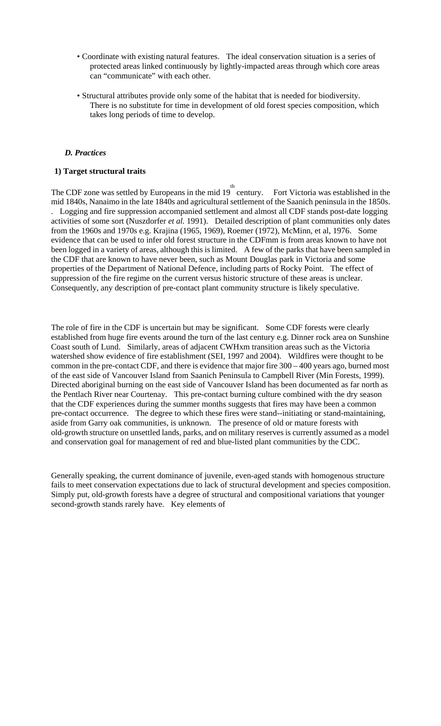- Coordinate with existing natural features. The ideal conservation situation is a series of protected areas linked continuously by lightly-impacted areas through which core areas can "communicate" with each other.
- Structural attributes provide only some of the habitat that is needed for biodiversity. There is no substitute for time in development of old forest species composition, which takes long periods of time to develop.

## *D. Practices*

### **1) Target structural traits**

The CDF zone was settled by Europeans in the mid  $19^{th}$  century. Fort Victoria was established in the mid 1840s, Nanaimo in the late 1840s and agricultural settlement of the Saanich peninsula in the 1850s. . Logging and fire suppression accompanied settlement and almost all CDF stands post-date logging activities of some sort (Nuszdorfer *et al.* 1991). Detailed description of plant communities only dates from the 1960s and 1970s e.g. Krajina (1965, 1969), Roemer (1972), McMinn, et al, 1976. Some evidence that can be used to infer old forest structure in the CDFmm is from areas known to have not been logged in a variety of areas, although this is limited. A few of the parks that have been sampled in the CDF that are known to have never been, such as Mount Douglas park in Victoria and some properties of the Department of National Defence, including parts of Rocky Point. The effect of suppression of the fire regime on the current versus historic structure of these areas is unclear. Consequently, any description of pre-contact plant community structure is likely speculative.

The role of fire in the CDF is uncertain but may be significant. Some CDF forests were clearly established from huge fire events around the turn of the last century e.g. Dinner rock area on Sunshine Coast south of Lund. Similarly, areas of adjacent CWHxm transition areas such as the Victoria watershed show evidence of fire establishment (SEI, 1997 and 2004). Wildfires were thought to be common in the pre-contact CDF, and there is evidence that major fire 300 – 400 years ago, burned most of the east side of Vancouver Island from Saanich Peninsula to Campbell River (Min Forests, 1999). Directed aboriginal burning on the east side of Vancouver Island has been documented as far north as the Pentlach River near Courtenay. This pre-contact burning culture combined with the dry season that the CDF experiences during the summer months suggests that fires may have been a common pre-contact occurrence. The degree to which these fires were stand--initiating or stand-maintaining, aside from Garry oak communities, is unknown. The presence of old or mature forests with old-growth structure on unsettled lands, parks, and on military reserves is currently assumed as a model and conservation goal for management of red and blue-listed plant communities by the CDC.

Generally speaking, the current dominance of juvenile, even-aged stands with homogenous structure fails to meet conservation expectations due to lack of structural development and species composition. Simply put, old-growth forests have a degree of structural and compositional variations that younger second-growth stands rarely have. Key elements of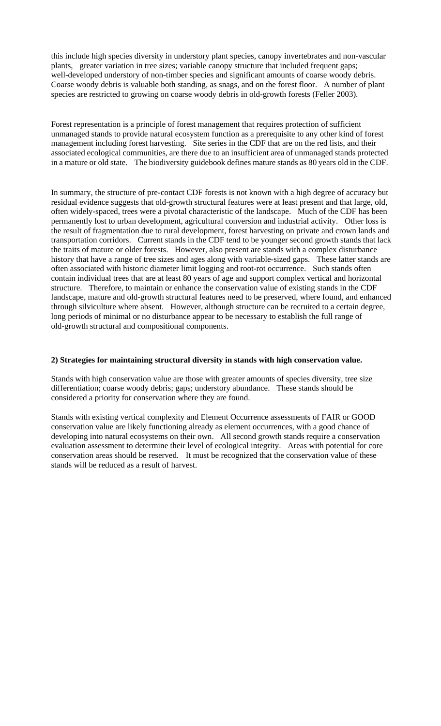this include high species diversity in understory plant species, canopy invertebrates and non-vascular plants, greater variation in tree sizes; variable canopy structure that included frequent gaps; well-developed understory of non-timber species and significant amounts of coarse woody debris. Coarse woody debris is valuable both standing, as snags, and on the forest floor. A number of plant species are restricted to growing on coarse woody debris in old-growth forests (Feller 2003).

Forest representation is a principle of forest management that requires protection of sufficient unmanaged stands to provide natural ecosystem function as a prerequisite to any other kind of forest management including forest harvesting. Site series in the CDF that are on the red lists, and their associated ecological communities, are there due to an insufficient area of unmanaged stands protected in a mature or old state. The biodiversity guidebook defines mature stands as 80 years old in the CDF.

In summary, the structure of pre-contact CDF forests is not known with a high degree of accuracy but residual evidence suggests that old-growth structural features were at least present and that large, old, often widely-spaced, trees were a pivotal characteristic of the landscape. Much of the CDF has been permanently lost to urban development, agricultural conversion and industrial activity. Other loss is the result of fragmentation due to rural development, forest harvesting on private and crown lands and transportation corridors. Current stands in the CDF tend to be younger second growth stands that lack the traits of mature or older forests. However, also present are stands with a complex disturbance history that have a range of tree sizes and ages along with variable-sized gaps. These latter stands are often associated with historic diameter limit logging and root-rot occurrence. Such stands often contain individual trees that are at least 80 years of age and support complex vertical and horizontal structure. Therefore, to maintain or enhance the conservation value of existing stands in the CDF landscape, mature and old-growth structural features need to be preserved, where found, and enhanced through silviculture where absent. However, although structure can be recruited to a certain degree, long periods of minimal or no disturbance appear to be necessary to establish the full range of old-growth structural and compositional components.

## **2) Strategies for maintaining structural diversity in stands with high conservation value.**

Stands with high conservation value are those with greater amounts of species diversity, tree size differentiation; coarse woody debris; gaps; understory abundance. These stands should be considered a priority for conservation where they are found.

Stands with existing vertical complexity and Element Occurrence assessments of FAIR or GOOD conservation value are likely functioning already as element occurrences, with a good chance of developing into natural ecosystems on their own. All second growth stands require a conservation evaluation assessment to determine their level of ecological integrity. Areas with potential for core conservation areas should be reserved. It must be recognized that the conservation value of these stands will be reduced as a result of harvest.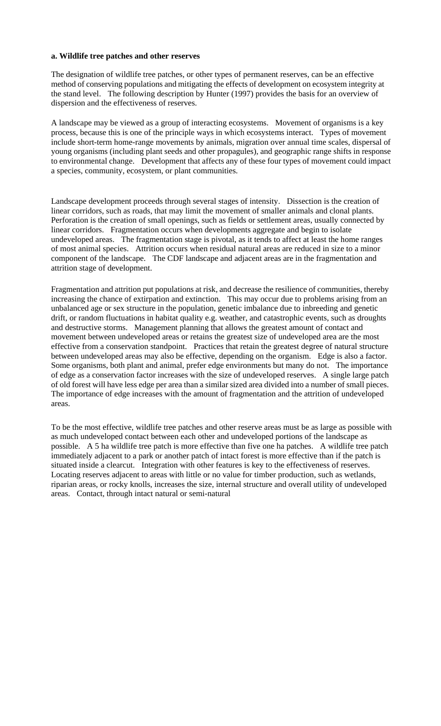#### **a. Wildlife tree patches and other reserves**

The designation of wildlife tree patches, or other types of permanent reserves, can be an effective method of conserving populations and mitigating the effects of development on ecosystem integrity at the stand level. The following description by Hunter (1997) provides the basis for an overview of dispersion and the effectiveness of reserves.

A landscape may be viewed as a group of interacting ecosystems. Movement of organisms is a key process, because this is one of the principle ways in which ecosystems interact. Types of movement include short-term home-range movements by animals, migration over annual time scales, dispersal of young organisms (including plant seeds and other propagules), and geographic range shifts in response to environmental change. Development that affects any of these four types of movement could impact a species, community, ecosystem, or plant communities.

Landscape development proceeds through several stages of intensity. Dissection is the creation of linear corridors, such as roads, that may limit the movement of smaller animals and clonal plants. Perforation is the creation of small openings, such as fields or settlement areas, usually connected by linear corridors. Fragmentation occurs when developments aggregate and begin to isolate undeveloped areas. The fragmentation stage is pivotal, as it tends to affect at least the home ranges of most animal species. Attrition occurs when residual natural areas are reduced in size to a minor component of the landscape. The CDF landscape and adjacent areas are in the fragmentation and attrition stage of development.

Fragmentation and attrition put populations at risk, and decrease the resilience of communities, thereby increasing the chance of extirpation and extinction. This may occur due to problems arising from an unbalanced age or sex structure in the population, genetic imbalance due to inbreeding and genetic drift, or random fluctuations in habitat quality e.g. weather, and catastrophic events, such as droughts and destructive storms. Management planning that allows the greatest amount of contact and movement between undeveloped areas or retains the greatest size of undeveloped area are the most effective from a conservation standpoint. Practices that retain the greatest degree of natural structure between undeveloped areas may also be effective, depending on the organism. Edge is also a factor. Some organisms, both plant and animal, prefer edge environments but many do not. The importance of edge as a conservation factor increases with the size of undeveloped reserves. A single large patch of old forest will have less edge per area than a similar sized area divided into a number of small pieces. The importance of edge increases with the amount of fragmentation and the attrition of undeveloped areas.

To be the most effective, wildlife tree patches and other reserve areas must be as large as possible with as much undeveloped contact between each other and undeveloped portions of the landscape as possible. A 5 ha wildlife tree patch is more effective than five one ha patches. A wildlife tree patch immediately adjacent to a park or another patch of intact forest is more effective than if the patch is situated inside a clearcut. Integration with other features is key to the effectiveness of reserves. Locating reserves adjacent to areas with little or no value for timber production, such as wetlands, riparian areas, or rocky knolls, increases the size, internal structure and overall utility of undeveloped areas. Contact, through intact natural or semi-natural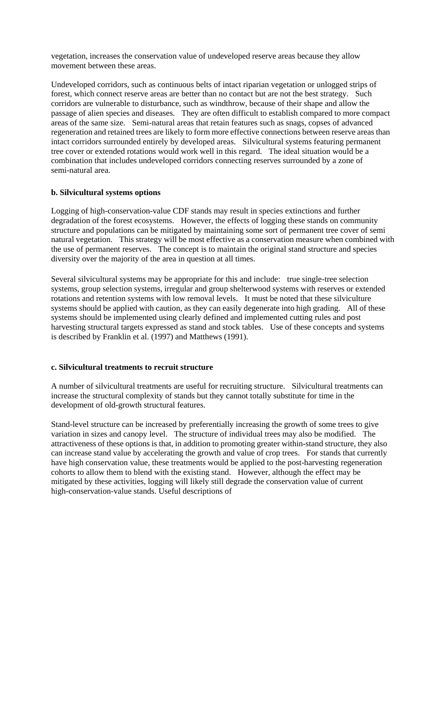vegetation, increases the conservation value of undeveloped reserve areas because they allow movement between these areas.

Undeveloped corridors, such as continuous belts of intact riparian vegetation or unlogged strips of forest, which connect reserve areas are better than no contact but are not the best strategy. Such corridors are vulnerable to disturbance, such as windthrow, because of their shape and allow the passage of alien species and diseases. They are often difficult to establish compared to more compact areas of the same size. Semi-natural areas that retain features such as snags, copses of advanced regeneration and retained trees are likely to form more effective connections between reserve areas than intact corridors surrounded entirely by developed areas. Silvicultural systems featuring permanent tree cover or extended rotations would work well in this regard. The ideal situation would be a combination that includes undeveloped corridors connecting reserves surrounded by a zone of semi-natural area.

### **b. Silvicultural systems options**

Logging of high-conservation-value CDF stands may result in species extinctions and further degradation of the forest ecosystems. However, the effects of logging these stands on community structure and populations can be mitigated by maintaining some sort of permanent tree cover of semi natural vegetation. This strategy will be most effective as a conservation measure when combined with the use of permanent reserves. The concept is to maintain the original stand structure and species diversity over the majority of the area in question at all times.

Several silvicultural systems may be appropriate for this and include: true single-tree selection systems, group selection systems, irregular and group shelterwood systems with reserves or extended rotations and retention systems with low removal levels. It must be noted that these silviculture systems should be applied with caution, as they can easily degenerate into high grading. All of these systems should be implemented using clearly defined and implemented cutting rules and post harvesting structural targets expressed as stand and stock tables. Use of these concepts and systems is described by Franklin et al. (1997) and Matthews (1991).

### **c. Silvicultural treatments to recruit structure**

A number of silvicultural treatments are useful for recruiting structure. Silvicultural treatments can increase the structural complexity of stands but they cannot totally substitute for time in the development of old-growth structural features.

Stand-level structure can be increased by preferentially increasing the growth of some trees to give variation in sizes and canopy level. The structure of individual trees may also be modified. The attractiveness of these options is that, in addition to promoting greater within-stand structure, they also can increase stand value by accelerating the growth and value of crop trees. For stands that currently have high conservation value, these treatments would be applied to the post-harvesting regeneration cohorts to allow them to blend with the existing stand. However, although the effect may be mitigated by these activities, logging will likely still degrade the conservation value of current high-conservation-value stands. Useful descriptions of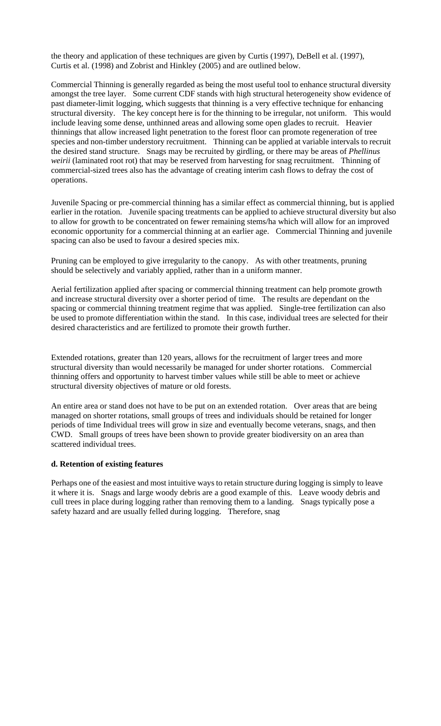the theory and application of these techniques are given by Curtis (1997), DeBell et al. (1997), Curtis et al. (1998) and Zobrist and Hinkley (2005) and are outlined below.

Commercial Thinning is generally regarded as being the most useful tool to enhance structural diversity amongst the tree layer. Some current CDF stands with high structural heterogeneity show evidence of past diameter-limit logging, which suggests that thinning is a very effective technique for enhancing structural diversity. The key concept here is for the thinning to be irregular, not uniform. This would include leaving some dense, unthinned areas and allowing some open glades to recruit. Heavier thinnings that allow increased light penetration to the forest floor can promote regeneration of tree species and non-timber understory recruitment. Thinning can be applied at variable intervals to recruit the desired stand structure. Snags may be recruited by girdling, or there may be areas of *Phellinus weirii* (laminated root rot) that may be reserved from harvesting for snag recruitment. Thinning of commercial-sized trees also has the advantage of creating interim cash flows to defray the cost of operations.

Juvenile Spacing or pre-commercial thinning has a similar effect as commercial thinning, but is applied earlier in the rotation. Juvenile spacing treatments can be applied to achieve structural diversity but also to allow for growth to be concentrated on fewer remaining stems/ha which will allow for an improved economic opportunity for a commercial thinning at an earlier age. Commercial Thinning and juvenile spacing can also be used to favour a desired species mix.

Pruning can be employed to give irregularity to the canopy. As with other treatments, pruning should be selectively and variably applied, rather than in a uniform manner.

Aerial fertilization applied after spacing or commercial thinning treatment can help promote growth and increase structural diversity over a shorter period of time. The results are dependant on the spacing or commercial thinning treatment regime that was applied. Single-tree fertilization can also be used to promote differentiation within the stand. In this case, individual trees are selected for their desired characteristics and are fertilized to promote their growth further.

Extended rotations, greater than 120 years, allows for the recruitment of larger trees and more structural diversity than would necessarily be managed for under shorter rotations. Commercial thinning offers and opportunity to harvest timber values while still be able to meet or achieve structural diversity objectives of mature or old forests.

An entire area or stand does not have to be put on an extended rotation. Over areas that are being managed on shorter rotations, small groups of trees and individuals should be retained for longer periods of time Individual trees will grow in size and eventually become veterans, snags, and then CWD. Small groups of trees have been shown to provide greater biodiversity on an area than scattered individual trees.

### **d. Retention of existing features**

Perhaps one of the easiest and most intuitive ways to retain structure during logging is simply to leave it where it is. Snags and large woody debris are a good example of this. Leave woody debris and cull trees in place during logging rather than removing them to a landing. Snags typically pose a safety hazard and are usually felled during logging. Therefore, snag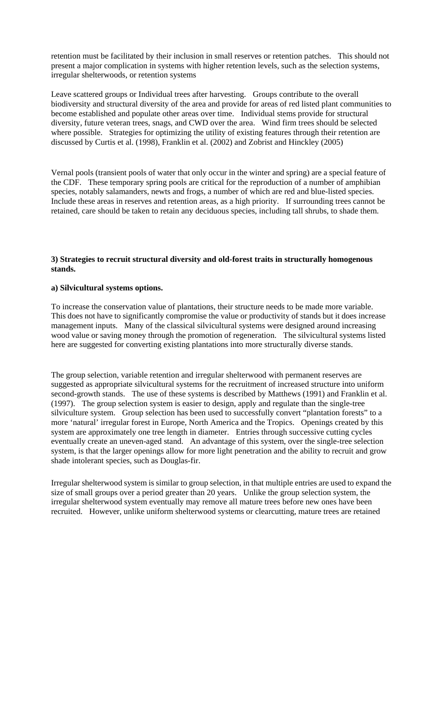retention must be facilitated by their inclusion in small reserves or retention patches. This should not present a major complication in systems with higher retention levels, such as the selection systems, irregular shelterwoods, or retention systems

Leave scattered groups or Individual trees after harvesting. Groups contribute to the overall biodiversity and structural diversity of the area and provide for areas of red listed plant communities to become established and populate other areas over time. Individual stems provide for structural diversity, future veteran trees, snags, and CWD over the area. Wind firm trees should be selected where possible. Strategies for optimizing the utility of existing features through their retention are discussed by Curtis et al. (1998), Franklin et al. (2002) and Zobrist and Hinckley (2005)

Vernal pools (transient pools of water that only occur in the winter and spring) are a special feature of the CDF. These temporary spring pools are critical for the reproduction of a number of amphibian species, notably salamanders, newts and frogs, a number of which are red and blue-listed species. Include these areas in reserves and retention areas, as a high priority. If surrounding trees cannot be retained, care should be taken to retain any deciduous species, including tall shrubs, to shade them.

## **3) Strategies to recruit structural diversity and old-forest traits in structurally homogenous stands.**

## **a) Silvicultural systems options.**

To increase the conservation value of plantations, their structure needs to be made more variable. This does not have to significantly compromise the value or productivity of stands but it does increase management inputs. Many of the classical silvicultural systems were designed around increasing wood value or saving money through the promotion of regeneration. The silvicultural systems listed here are suggested for converting existing plantations into more structurally diverse stands.

The group selection, variable retention and irregular shelterwood with permanent reserves are suggested as appropriate silvicultural systems for the recruitment of increased structure into uniform second-growth stands. The use of these systems is described by Matthews (1991) and Franklin et al. (1997). The group selection system is easier to design, apply and regulate than the single-tree silviculture system. Group selection has been used to successfully convert "plantation forests" to a more 'natural' irregular forest in Europe, North America and the Tropics. Openings created by this system are approximately one tree length in diameter. Entries through successive cutting cycles eventually create an uneven-aged stand. An advantage of this system, over the single-tree selection system, is that the larger openings allow for more light penetration and the ability to recruit and grow shade intolerant species, such as Douglas-fir.

Irregular shelterwood system is similar to group selection, in that multiple entries are used to expand the size of small groups over a period greater than 20 years. Unlike the group selection system, the irregular shelterwood system eventually may remove all mature trees before new ones have been recruited. However, unlike uniform shelterwood systems or clearcutting, mature trees are retained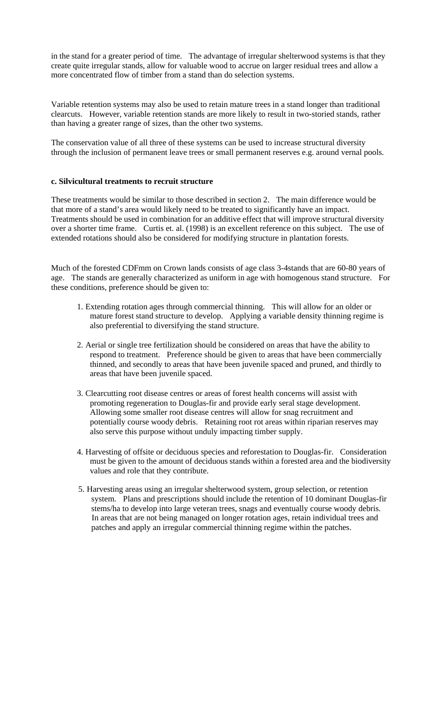in the stand for a greater period of time. The advantage of irregular shelterwood systems is that they create quite irregular stands, allow for valuable wood to accrue on larger residual trees and allow a more concentrated flow of timber from a stand than do selection systems.

Variable retention systems may also be used to retain mature trees in a stand longer than traditional clearcuts. However, variable retention stands are more likely to result in two-storied stands, rather than having a greater range of sizes, than the other two systems.

The conservation value of all three of these systems can be used to increase structural diversity through the inclusion of permanent leave trees or small permanent reserves e.g. around vernal pools.

## **c. Silvicultural treatments to recruit structure**

These treatments would be similar to those described in section 2. The main difference would be that more of a stand's area would likely need to be treated to significantly have an impact. Treatments should be used in combination for an additive effect that will improve structural diversity over a shorter time frame. Curtis et. al. (1998) is an excellent reference on this subject. The use of extended rotations should also be considered for modifying structure in plantation forests.

Much of the forested CDFmm on Crown lands consists of age class 3-4stands that are 60-80 years of age. The stands are generally characterized as uniform in age with homogenous stand structure. For these conditions, preference should be given to:

- 1. Extending rotation ages through commercial thinning. This will allow for an older or mature forest stand structure to develop. Applying a variable density thinning regime is also preferential to diversifying the stand structure.
- 2. Aerial or single tree fertilization should be considered on areas that have the ability to respond to treatment. Preference should be given to areas that have been commercially thinned, and secondly to areas that have been juvenile spaced and pruned, and thirdly to areas that have been juvenile spaced.
- 3. Clearcutting root disease centres or areas of forest health concerns will assist with promoting regeneration to Douglas-fir and provide early seral stage development. Allowing some smaller root disease centres will allow for snag recruitment and potentially course woody debris. Retaining root rot areas within riparian reserves may also serve this purpose without unduly impacting timber supply.
- 4. Harvesting of offsite or deciduous species and reforestation to Douglas-fir. Consideration must be given to the amount of deciduous stands within a forested area and the biodiversity values and role that they contribute.
- 5. Harvesting areas using an irregular shelterwood system, group selection, or retention system. Plans and prescriptions should include the retention of 10 dominant Douglas-fir stems/ha to develop into large veteran trees, snags and eventually course woody debris. In areas that are not being managed on longer rotation ages, retain individual trees and patches and apply an irregular commercial thinning regime within the patches.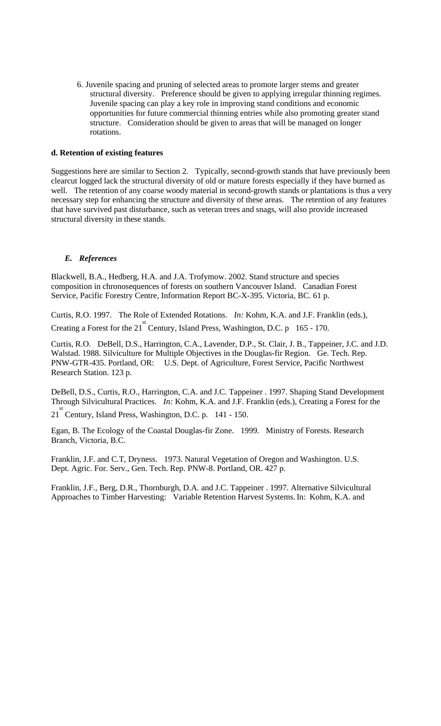6. Juvenile spacing and pruning of selected areas to promote larger stems and greater structural diversity. Preference should be given to applying irregular thinning regimes. Juvenile spacing can play a key role in improving stand conditions and economic opportunities for future commercial thinning entries while also promoting greater stand structure. Consideration should be given to areas that will be managed on longer rotations.

## **d. Retention of existing features**

Suggestions here are similar to Section 2. Typically, second-growth stands that have previously been clearcut logged lack the structural diversity of old or mature forests especially if they have burned as well. The retention of any coarse woody material in second-growth stands or plantations is thus a very necessary step for enhancing the structure and diversity of these areas. The retention of any features that have survived past disturbance, such as veteran trees and snags, will also provide increased structural diversity in these stands.

## *E. References*

Blackwell, B.A., Hedberg, H.A. and J.A. Trofymow. 2002. Stand structure and species composition in chronosequences of forests on southern Vancouver Island. Canadian Forest Service, Pacific Forestry Centre, Information Report BC-X-395. Victoria, BC. 61 p.

Curtis, R.O. 1997. The Role of Extended Rotations. *In:* Kohm, K.A. and J.F. Franklin (eds.), Creating a Forest for the 21<sup>st</sup> Century, Island Press, Washington, D.C. p 165 - 170.

Curtis, R.O. DeBell, D.S., Harrington, C.A., Lavender, D.P., St. Clair, J. B., Tappeiner, J.C. and J.D. Walstad. 1988. Silviculture for Multiple Objectives in the Douglas-fir Region. Ge. Tech. Rep. PNW-GTR-435. Portland, OR: U.S. Dept. of Agriculture, Forest Service, Pacific Northwest Research Station. 123 p.

DeBell, D.S., Curtis, R.O., Harrington, C.A. and J.C. Tappeiner . 1997. Shaping Stand Development Through Silvicultural Practices. *In:* Kohm, K.A. and J.F. Franklin (eds.), Creating a Forest for the

21<sup>st</sup> Century, Island Press, Washington, D.C. p. 141 - 150.

Egan, B. The Ecology of the Coastal Douglas-fir Zone. 1999. Ministry of Forests. Research Branch, Victoria, B.C.

Franklin, J.F. and C.T, Dryness. 1973. Natural Vegetation of Oregon and Washington. U.S. Dept. Agric. For. Serv., Gen. Tech. Rep. PNW-8. Portland, OR. 427 p.

Franklin, J.F., Berg, D.R., Thornburgh, D.A. and J.C. Tappeiner . 1997. Alternative Silvicultural Approaches to Timber Harvesting: Variable Retention Harvest Systems. In: Kohm, K.A. and